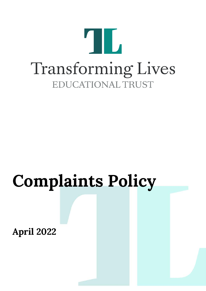

# **Complaints Policy**

**April 2022**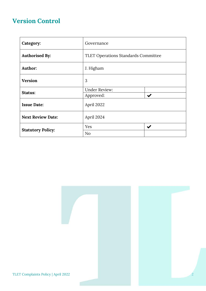# **Version Control**

| Category:                | Governance                                 |                           |
|--------------------------|--------------------------------------------|---------------------------|
| <b>Authorised By:</b>    | <b>TLET Operations Standards Committee</b> |                           |
| Author:                  | J. Higham                                  |                           |
| <b>Version</b>           | 3                                          |                           |
| Status:                  | <b>Under Review:</b>                       |                           |
|                          | Approved:                                  | $\boldsymbol{\checkmark}$ |
| <b>Issue Date:</b>       | April 2022                                 |                           |
| <b>Next Review Date:</b> | April 2024                                 |                           |
|                          | Yes                                        | $\blacktriangledown$      |
| <b>Statutory Policy:</b> | No                                         |                           |

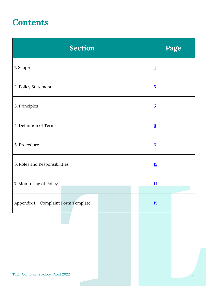# **Contents**

| <b>Section</b>                       | Page            |
|--------------------------------------|-----------------|
| 1. Scope                             | $\overline{4}$  |
| 2. Policy Statement                  | $\overline{5}$  |
| 3. Principles                        | $\overline{5}$  |
| 4. Definition of Terms               | $6\overline{6}$ |
| 5. Procedure                         | $6\overline{6}$ |
| 6. Roles and Responsibilities        | 12              |
| 7. Monitoring of Policy              | 14              |
| Appendix 1 - Complaint Form Template | 15              |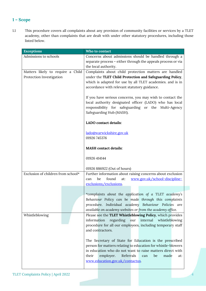# <span id="page-3-0"></span>**1 – Scope**

1.1 This procedure covers all complaints about any provision of community facilities or services by a TLET academy, other than complaints that are dealt with under other statutory procedures, including those listed below.

| <b>Exceptions</b>                  | Who to contact                                                |
|------------------------------------|---------------------------------------------------------------|
| Admissions to schools              | Concerns about admissions should be handled through a         |
|                                    | separate process - either through the appeals process or via  |
|                                    | the local authority.                                          |
| Matters likely to require a Child  | Complaints about child protection matters are handled         |
| Protection Investigation           | under the TLET Child Protection and Safeguarding Policy,      |
|                                    | which is adapted for use by all TLET academies. and is in     |
|                                    | accordance with relevant statutory guidance.                  |
|                                    | If you have serious concerns, you may wish to contact the     |
|                                    | local authority designated officer (LADO) who has local       |
|                                    | responsibility for safeguarding or the Multi-Agency           |
|                                    | Safeguarding Hub (MASH).                                      |
|                                    | LADO contact details:                                         |
|                                    | lado@warwickshire.gov.uk                                      |
|                                    | 01926 745376                                                  |
|                                    |                                                               |
|                                    | <b>MASH</b> contact details:                                  |
|                                    | 01926 414144                                                  |
|                                    |                                                               |
|                                    | 01926 886922 (Out of hours)                                   |
| Exclusion of children from school* | Further information about raising concerns about exclusion    |
|                                    | found<br>at:<br>www.gov.uk/school-discipline-<br>be<br>can    |
|                                    | exclusions/exclusions.                                        |
|                                    | *complaints about the application of a TLET academy's         |
|                                    | Behaviour Policy can be made through this complaints          |
|                                    | procedure. Individual academy Behaviour Policies are          |
|                                    | available on academy websites or from the academy office.     |
| Whistleblowing                     | Please see the TLET Whistleblowing Policy, which provides     |
|                                    | regarding<br>internal<br>whistleblowing<br>information<br>our |
|                                    | procedure for all our employees, including temporary staff    |
|                                    | and contractors.                                              |
|                                    | The Secretary of State for Education is the prescribed        |
|                                    | person for matters relating to education for whistle-blowers  |
|                                    | in education who do not want to raise matters direct with     |
|                                    | Referrals<br>their<br>employer.<br>made<br>be<br>can<br>at:   |
|                                    | www.education.gov.uk/contactus.                               |
|                                    |                                                               |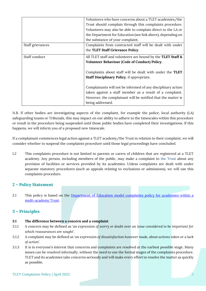|                  | Volunteers who have concerns about a TLET academies/the      |
|------------------|--------------------------------------------------------------|
|                  | Trust should complain through this complaints procedure.     |
|                  | Volunteers may also be able to complain direct to the LA or  |
|                  | the Department for Education (see link above), depending on  |
|                  | the substance of your complaint.                             |
| Staff grievances | Complaints from contracted staff will be dealt with under    |
|                  | the TLET Staff Grievance Policy.                             |
| Staff conduct    | All TLET staff and volunteers are bound by the TLET Staff &  |
|                  | Volunteer Behaviour (Code of Conduct) Policy.                |
|                  |                                                              |
|                  | Complaints about staff will be dealt with under the TLET     |
|                  | Staff Disciplinary Policy, if appropriate.                   |
|                  |                                                              |
|                  | Complainants will not be informed of any disciplinary action |
|                  | taken against a staff member as a result of a complaint.     |
|                  | However, the complainant will be notified that the matter is |
|                  | being addressed.                                             |

N.B. If other bodies are investigating aspects of the complaint, for example the police, local authority (LA) safeguarding teams or Tribunals, this may impact on our ability to adhere to the timescales within this procedure or result in the procedure being suspended until those public bodies have completed their investigations. If this happens, we will inform you of a proposed new timescale.

If a complainant commences legal action against a TLET academy/the Trust in relation to their complaint, we will consider whether to suspend the complaints procedure until those legal proceedings have concluded.

1.2 This complaints procedure is not limited to parents or carers of children that are registered at a TLET academy. Any person, including members of the public, may make a complaint to the Trust about any provision of facilities or services provided by its academies. Unless complaints are dealt with under separate statutory procedures (such as appeals relating to exclusions or admissions), we will use this complaints procedure.

# <span id="page-4-0"></span>**2 – Policy Statement**

2.1 This policy is based on the Department of Education model complaints policy for academies within a [multi-academy Trust.](https://www.gov.uk/government/publications/setting-up-an-academies-complaints-procedure)

# <span id="page-4-1"></span>**3 – Principles**

#### **3.1 The difference between a concern and a complaint**

- 3.1.1 A concern may be defined as '*an expression of worry or doubt over an issue considered to be important for which reassurances are sought'*.
- 3.1.2 A complaint may be defined as '*an expression of dissatisfaction however made, about actions taken or a lack of action*'.
- 3.1.3 It is in everyone's interest that concerns and complaints are resolved at the earliest possible stage. Many issues can be resolved informally, without the need to use the formal stages of the complaints procedure. TLET and its academies take concerns seriously and will make every effort to resolve the matter as quickly as possible.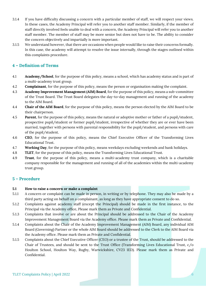- 3.1.4 If you have difficulty discussing a concern with a particular member of staff, we will respect your views. In these cases, the Academy Principal will refer you to another staff member. Similarly, if the member of staff directly involved feels unable to deal with a concern, the Academy Principal will refer you to another staff member. The member of staff may be more senior but does not have to be. The ability to consider the concern objectively and impartially is more important.
- 3.1.5 We understand however, that there are occasions when people would like to raise their concerns formally. In this case, the academy will attempt to resolve the issue internally, through the stages outlined within this complaints procedure.

# <span id="page-5-0"></span>**4 – Definition of Terms**

- 4.1 **Academy/School**, for the purpose of this policy, means a school, which has academy status and is part of a multi-academy trust group.
- 4.2 **Complainant**, for the purpose of this policy, means the person or organisation making the complaint.
- 4.3 **Academy Improvement Management (AIM) Board**, for the purpose of this policy, means a sub-committee of the Trust Board. The Trust Board delegates the day-to-day management and running of the academy to the AIM Board.
- 4.4 **Chair of the AIM Board**, for the purpose of this policy, means the person elected by the AIM Board to be their chairperson.
- 4.5 **Parent**, for the purpose of this policy, means the natural or adoptive mother or father of a pupil/student, prospective pupil/student or former pupil/student, irrespective of whether they are or ever have been married, together with persons with parental responsibility for the pupil/student, and persons with care of the pupil/student.
- 4.6 **CEO**, for the purpose of this policy, means the Chief Executive Officer of the Transforming Lives Educational Trust.
- 4.7 **Working Day**, for the purpose of this policy, means weekdays excluding weekends and bank holidays.
- 4.8 **TLET**, for the purpose of this policy, means the Transforming Lives Educational Trust.
- 4.9 **Trust**, for the purpose of this policy, means a multi-academy trust company, which is a charitable company responsible for the management and running of all of the academies within the multi-academy trust group.

# <span id="page-5-1"></span>**5 – Procedure**

#### **5.1 How to raise a concern or make a complaint**

- 5.1.1 A concern or complaint can be made in person, in writing or by telephone. They may also be made by a third party acting on behalf on a complainant, as long as they have appropriate consent to do so.
- 5.1.2 Complaints against academy staff (except the Principal) should be made in the first instance, to the Principal via the Academy office. Please mark them as Private and Confidential.
- 5.1.3 Complaints that involve or are about the Principal should be addressed to the Chair of the Academy Improvement Management Board via the Academy office. Please mark them as Private and Confidential.
- 5.1.4 Complaints about the Chair of the Academy Improvement Management (AIM) Board, any individual AIM Board (Governing) Partner or the whole AIM Board should be addressed to the Clerk to the AIM Board via the Academy office. Please mark them as Private and Confidential.
- 5.1.5 Complaints about the Chief Executive Officer (CEO) or a trustee of the Trust, should be addressed to the Chair of Trustees, and should be sent to the Trust Office (Transforming Lives Educational Trust, c/o Houlton School, Houlton Way, Rugby, Warwickshire, CV23 1ED). Please mark them as Private and Confidential.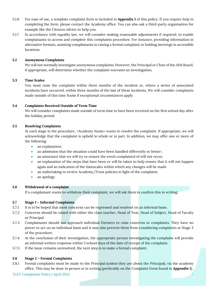- 5.1.6 For ease of use, a template complaint form is included in **Appendix 1** of this policy. If you require help in completing the form, please contact the Academy office. You can also ask a third-party organisation for example like the Citizens Advice to help you.
- 5.1.7 In accordance with equality law, we will consider making reasonable adjustments if required, to enable complainants to access and complete this complaints procedure. For instance, providing information in alternative formats, assisting complainants in raising a formal complaint or holding meetings in accessible locations.

#### **5.2 Anonymous Complaints**

We will not normally investigate anonymous complaints. However, the Principal or Chair of the AIM Board, if appropriate, will determine whether the complaint warrants an investigation.

#### **5.3 Time Scales**

You must raise the complaint within three months of the incident or, where a series of associated incidents have occurred, within three months of the last of these incidents. We will consider complaints made outside of this time frame if exceptional circumstances apply.

#### **5.4 Complaints Received Outside of Term Time**

We will consider complaints made outside of term time to have been received on the first school day after the holiday period.

#### **5.5 Resolving Complaints**

At each stage in the procedure, <Academy Name> wants to resolve the complaint. If appropriate, we will acknowledge that the complaint is upheld in whole or in part. In addition, we may offer one or more of the following:

- an explanation;
- an admission that the situation could have been handled differently or better;
- an assurance that we will try to ensure the event complained of will not recur;
- an explanation of the steps that have been or will be taken to help ensure that it will not happen again and an indication of the timescales within which any changes will be made
- an undertaking to review Academy/Trust policies in light of the complaint;
- an apology.

#### **5.6 Withdrawal of a complaint**

If a complainant wants to withdraw their complaint, we will ask them to confirm this in writing.

#### **5.7 Stage 1 – Informal Complaints**

- 5.7.1 It is to be hoped that most concerns can be expressed and resolved on an informal basis.
- 5.7.2 Concerns should be raised with either the class teacher, Head of Year, Head of Subject, Head of Faculty or Principal.
- 5.7.3 Complainants should not approach individual Partners to raise concerns or complaints. They have no power to act on an individual basis and it may also prevent them from considering complaints at Stage 3 of the procedure.
- 5.7.4 At the conclusion of their investigation, the appropriate person investigating the complaint will provide an informal written response within 5 school days of the date of receipt of the complaint.
- 5.7.5 If the issue remains unresolved, the next step is to make a formal complaint.

#### **5.8 Stage 2 – Formal Complaints**

5.8.1 Formal complaints must be made to the Principal (unless they are about the Principal), via the academy office. This may be done in person or in writing (preferably on the Complaint Form found in **Appendix 1**).

TLET Complaints Policy | April 2022 7 2023 7 2023 7 2024 7 2024 7 2024 7 2024 7 2022 7 2024 7 2022 7 2024 7 2022 7 2022 7 2022 7 2022 7 2022 7 2022 7 2022 7 2022 7 2022 7 2022 7 2022 7 2022 7 2022 7 2022 7 2022 7 2022 7 20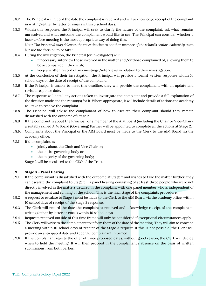- 5.8.2 The Principal will record the date the complaint is received and will acknowledge receipt of the complaint in writing (either by letter or email) within 5 school days.
- 5.8.3 Within this response, the Principal will seek to clarify the nature of the complaint, ask what remains unresolved and what outcome the complainant would like to see. The Principal can consider whether a face-to-face meeting is the most appropriate way of doing this.

*Note: The Principal may delegate the investigation to another member of the school's senior leadership team but not the decision to be taken.*

- 5.8.4 During the investigation, the Principal (or investigator) will:
	- if necessary, interview those involved in the matter and/or those complained of, allowing them to be accompanied if they wish;
	- keep a written record of any meetings/interviews in relation to their investigation.
- 5.8.5 At the conclusion of their investigation, the Principal will provide a formal written response within 10 school days of the date of receipt of the complaint.
- 5.8.6 If the Principal is unable to meet this deadline, they will provide the complainant with an update and revised response date.
- 5.8.7 The response will detail any actions taken to investigate the complaint and provide a full explanation of the decision made and the reason(s) for it. Where appropriate, it will include details of actions the academy will take to resolve the complaint.
- 5.8.8 The Principal will advise the complainant of how to escalate their complaint should they remain dissatisfied with the outcome of Stage 2.
- 5.8.9 If the complaint is about the Principal, or a member of the AIM Board (including the Chair or Vice-Chair), a suitably skilled AIM Board (Governing) Partner will be appointed to complete all the actions at Stage 2.
- 5.8.10 Complaints about the Principal or the AIM Board must be made to the Clerk to the AIM Board via the academy office.
- 5.8.11 If the complaint is:
	- jointly about the Chair and Vice Chair or;
	- the entire governing body or;
	- the majority of the governing body;

Stage 2 will be escalated to the CEO of the Trust.

#### **5.9 Stage 3 – Panel Hearing**

- 5.9.1 If the complainant is dissatisfied with the outcome at Stage 2 and wishes to take the matter further, they can escalate the complaint to Stage 3 – a panel hearing consisting of at least three people who were not directly involved in the matters detailed in the complaint with one panel member who is independent of the management and running of the school. This is the final stage of the complaints procedure.
- 5.9.2 A request to escalate to Stage 3 must be made to the Clerk to the AIM Board, via the academy office, within 10 school days of receipt of the Stage 2 response.
- 5.9.3 The Clerk will record the date the complaint is received and acknowledge receipt of the complaint in writing (either by letter or email) within 10 school days.
- 5.9.4 Requests received outside of this time frame will only be considered if exceptional circumstances apply.
- 5.9.5 The Clerk will write to the complainant to inform them of the date of the meeting. They will aim to convene a meeting within 10 school days of receipt of the Stage 3 request. If this is not possible, the Clerk will provide an anticipated date and keep the complainant informed.
- 5.9.6 If the complainant rejects the offer of three proposed dates, without good reason, the Clerk will decide when to hold the meeting. It will then proceed in the complainant's absence on the basis of written submissions from both parties.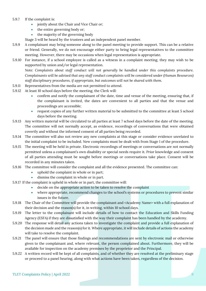#### 5.9.7 If the complaint is:

- jointly about the Chair and Vice Chair or;
- the entire governing body or;
- the majority of the governing body
- Stage 3 will be heard by the trustees and an independent panel member.
- 5.9.9 A complainant may bring someone along to the panel meeting to provide support. This can be a relative or friend. Generally, we do not encourage either party to bring legal representatives to the committee meeting. However, there may be occasions when legal representation is appropriate.
- 5.9.10 For instance, if a school employee is called as a witness in a complaint meeting, they may wish to be supported by union and/or legal representation.

*Note: Complaints about staff conduct will not generally be handled under this complaints procedure. Complainants will be advised that any staff conduct complaints will be considered under (Human Resources) staff disciplinary procedures, if appropriate, but outcomes will not be shared with them.* 

- 5.9.11 Representatives from the media are not permitted to attend.
- 5.9.12 At least 10 school days before the meeting, the Clerk will:
	- confirm and notify the complainant of the date, time and venue of the meeting, ensuring that, if the complainant is invited, the dates are convenient to all parties and that the venue and proceedings are accessible;
	- request copies of any further written material to be submitted to the committee at least 5 school days before the meeting.
- 5.9.13 Any written material will be circulated to all parties at least 7 school days before the date of the meeting. The committee will not normally accept, as evidence, recordings of conversations that were obtained covertly and without the informed consent of all parties being recorded.
- 5.9.14 The committee will also not review any new complaints at this stage or consider evidence unrelated to the initial complaint to be included. New complaints must be dealt with from Stage 1 of the procedure.
- 5.9.15 The meeting will be held in private. Electronic recordings of meetings or conversations are not normally permitted unless a complainant's own disability or special needs require it. Prior knowledge and consent of all parties attending must be sought before meetings or conversations take place. Consent will be recorded in any minutes taken.
- 5.9.16 The committee will consider the complaint and all the evidence presented. The committee can:
	- uphold the complaint in whole or in part;
	- dismiss the complaint in whole or in part.
- 5.9.17 If the complaint is upheld in whole or in part, the committee will:
	- decide on the appropriate action to be taken to resolve the complaint
	- where appropriate, recommend changes to the school's systems or procedures to prevent similar issues in the future.
- 5.9.18 The Chair of the Committee will provide the complainant and <Academy Name> with a full explanation of their decision and the reason(s) for it, in writing, within 10 school days.
- 5.9.19 The letter to the complainant will include details of how to contact the Education and Skills Funding Agency (ESFA) if they are dissatisfied with the way their complaint has been handled by the academy.
- 5.9.20 The response will detail any actions taken to investigate the complaint and provide a full explanation of the decision made and the reason(s) for it. Where appropriate, it will include details of actions the academy will take to resolve the complaint.
- 5.9.21 The panel will ensure that those findings and recommendations are sent by electronic mail or otherwise given to the complainant and, where relevant, the person complained about. Furthermore, they will be available for inspection on the academy premises by the proprietor and the Principal.
- 5.9.22 A written record will be kept of all complaints, and of whether they are resolved at the preliminary stage or proceed to a panel hearing, along with what actions have been taken, regardless of the decision.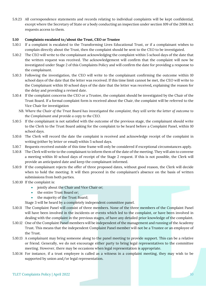5.9.23 All correspondence statements and records relating to individual complaints will be kept confidential, except where the Secretary of State or a body conducting an inspection under section 109 of the 2008 Act requests access to them.

#### **5.10 Complaints escalated to/about the Trust, CEO or Trustee**

- 5.10.1 If a complaint is escalated to the Transforming Lives Educational Trust, or if a complainant wishes to complain directly about the Trust, then the complaint should be sent to the CEO to be investigated.
- 5.10.2 The CEO will write to the complainant acknowledging the complaint within 5 school days of the date that the written request was received. The acknowledgement will confirm that the complaint will now be investigated under Stage 2 of this Complaints Policy and will confirm the date for providing a response to the complainant.
- 5.10.3 Following the investigation, the CEO will write to the complainant confirming the outcome within 10 school days of the date that the letter was received. If this time limit cannot be met, the CEO will write to the Complainant within 10 school days of the date that the letter was received**,** explaining the reason for the delay and providing a revised date.
- 5.10.4 If the complaint concerns the CEO or a Trustee, the complaint should be investigated by the Chair of the Trust Board. If a formal complaint form is received about the Chair, the complaint will be referred to the Vice Chair for investigation
	- *NB. Where the Chair of the Trust Board has investigated the complaint, they will write the letter of outcome to the Complainant and provide a copy to the CEO.*
- 5.10.5 If the complainant is not satisfied with the outcome of the previous stage, the complainant should write to the Clerk to the Trust Board asking for the complaint to be heard before a Complaint Panel, within 10 school days.
- 5.10.6 The Clerk will record the date the complaint is received and acknowledge receipt of the complaint in writing (either by letter or email) within 5 school days.
- 5.10.7 Requests received outside of this time frame will only be considered if exceptional circumstances apply.
- 5.10.8 The Clerk will write to the complainant to inform them of the date of the meeting. They will aim to convene a meeting within 10 school days of receipt of the Stage 2 request. If this is not possible, the Clerk will provide an anticipated date and keep the complainant informed.
- 5.10.9 If the complainant rejects the offer of three proposed dates, without good reason, the Clerk will decide when to hold the meeting. It will then proceed in the complainant's absence on the basis of written submissions from both parties.
- 5.10.10 If the complaint is:
	- jointly about the Chair and Vice Chair or;
	- the entire Trust Board or;
	- the majority of the Trust Board;

Stage 3 will be heard by a completely independent committee panel.

- 5.10.11 The Complaint Panel will consist of three members. None of the three members of the Complaint Panel will have been involved in the incidents or events which led to the complaint, or have been involved in dealing with the complaint in the previous stages, of have any detailed prior knowledge of the complaint.
- 5.10.12 One of the Complaint Panel members will be independent of the management and running of the Academy Trust. This means that the independent Complaint Panel member will not be a Trustee or an employee of the Trust.
- 5.10.13 A complainant may bring someone along to the panel meeting to provide support. This can be a relative or friend. Generally, we do not encourage either party to bring legal representatives to the committee meeting. However, there may be occasions when legal representation is appropriate.
- 5.10.14 For instance, if a trust employee is called as a witness in a complaint meeting, they may wish to be supported by union and/or legal representation.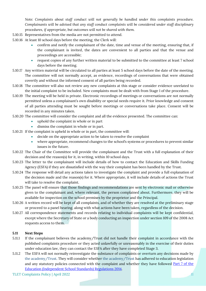*Note: Complaints about staff conduct will not generally be handled under this complaints procedure. Complainants will be advised that any staff conduct complaints will be considered under staff disciplinary procedures, if appropriate, but outcomes will not be shared with them.* 

- 5.10.15 Representatives from the media are not permitted to attend.
- 5.10.16 At least 10 school days before the meeting, the Clerk will:
	- confirm and notify the complainant of the date, time and venue of the meeting, ensuring that, if the complainant is invited, the dates are convenient to all parties and that the venue and proceedings are accessible;
	- request copies of any further written material to be submitted to the committee at least 7 school days before the meeting.
- 5.10.17 Any written material will be circulated to all parties at least 5 school days before the date of the meeting. The committee will not normally accept, as evidence, recordings of conversations that were obtained covertly and without the informed consent of all parties being recorded.
- 5.10.18 The committee will also not review any new complaints at this stage or consider evidence unrelated to the initial complaint to be included. New complaints must be dealt with from Stage 1 of the procedure.
- 5.10.19 The meeting will be held in private. Electronic recordings of meetings or conversations are not normally permitted unless a complainant's own disability or special needs require it. Prior knowledge and consent of all parties attending must be sought before meetings or conversations take place. Consent will be recorded in any minutes taken.
- 5.10.20 The committee will consider the complaint and all the evidence presented. The committee can:
	- uphold the complaint in whole or in part
	- dismiss the complaint in whole or in part.
- 5.10.21 If the complaint is upheld in whole or in part, the committee will:
	- decide on the appropriate action to be taken to resolve the complaint
	- where appropriate, recommend changes to the school's systems or procedures to prevent similar issues in the future.
- 5.10.22 The Chair of the Committee will provide the complainant and the Trust with a full explanation of their decision and the reason(s) for it, in writing, within 10 school days.
- 5.10.23 The letter to the complainant will include details of how to contact the Education and Skills Funding Agency (ESFA) if they are dissatisfied with the way their complaint has been handled by the Trust.
- 5.10.24 The response will detail any actions taken to investigate the complaint and provide a full explanation of the decision made and the reason(s) for it. Where appropriate, it will include details of actions the Trust will take to resolve the complaint.
- 5.10.25 The panel will ensure that those findings and recommendations are sent by electronic mail or otherwise given to the complainant and, where relevant, the person complained about. Furthermore, they will be available for inspection on the school premises by the proprietor and the Principal.
- 5.10.26 A written record will be kept of all complaints, and of whether they are resolved at the preliminary stage or proceed to a panel hearing, along with what actions have been taken, regardless of the decision.
- 5.10.27 All correspondence statements and records relating to individual complaints will be kept confidential, except where the Secretary of State or a body conducting an inspection under section 109 of the 2008 Act requests access to them.

#### **5.11 Next Steps**

- 5.11.1 If the complainant believes the academy/Trust did not handle their complaint in accordance with the published complaints procedure or they acted unlawfully or unreasonably in the exercise of their duties under education law, they can contact the ESFA after they have completed Stage 3.
- 5.11.2 The ESFA will not normally reinvestigate the substance of complaints or overturn any decisions made by the academy/Trust. They will consider whether the academy/Trust has adhered to education legislation and any statutory policies connected with the complaint and whether they have followed [Part 7 of the](http://www.legislation.gov.uk/uksi/2010/1997/schedule/1/made)  [Education \(Independent School Standards\) Regulations 2014.](http://www.legislation.gov.uk/uksi/2010/1997/schedule/1/made)

TLET Complaints Policy | April 2022 11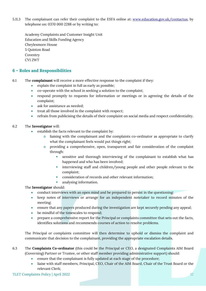5.11.3 The complainant can refer their complaint to the ESFA online at: [www.education.gov.uk/contactus,](http://www.education.gov.uk/contactus) by telephone on: 0370 000 2288 or by writing to:

Academy Complaints and Customer Insight Unit Education and Skills Funding Agency Cheylesmore House 5 Quinton Road Coventry CV1 2WT

# <span id="page-11-0"></span>**6 – Roles and Responsibilities**

- 6.1 The **complainant** will receive a more effective response to the complaint if they:
	- explain the complaint in full as early as possible;
	- co-operate with the school in seeking a solution to the complaint;
	- respond promptly to requests for information or meetings or in agreeing the details of the complaint;
	- ask for assistance as needed;
	- treat all those involved in the complaint with respect;
	- refrain from publicising the details of their complaint on social media and respect confidentiality.

#### 6.2 The **Investigator** will:

- establish the facts relevant to the complaint by:
	- o liaising with the complainant and the complaints co-ordinator as appropriate to clarify what the complainant feels would put things right;
		- o providing a comprehensive, open, transparent and fair consideration of the complaint through:
			- sensitive and thorough interviewing of the complainant to establish what has happened and who has been involved;
			- interviewing staff and children/young people and other people relevant to the complaint;
			- consideration of records and other relevant information;
			- analysing information.

#### The **Investigator** should:

- conduct interviews with an open mind and be prepared to persist in the questioning:
- keep notes of interviews or arrange for an independent notetaker to record minutes of the meeting;
- ensure that any papers produced during the investigation are kept securely pending any appeal;
- be mindful of the timescales to respond;
- prepare a comprehensive report for the Principal or complaints committee that sets out the facts, identifies solutions and recommends courses of action to resolve problems.

The Principal or complaints committee will then determine to uphold or dismiss the complaint and communicate that decision to the complainant, providing the appropriate escalation details.

- 6.3 The **Complaints Co-ordinator** (this could be the Principal or CEO, a designated Complaints AIM Board (Governing) Partner or Trustee, or other staff member providing administrative support) should:
	- ensure that the complainant is fully updated at each stage of the procedure;
	- liaise with staff members, Principal, CEO, Chair of the AIM Board, Chair of the Trust Board or the relevant Clerk;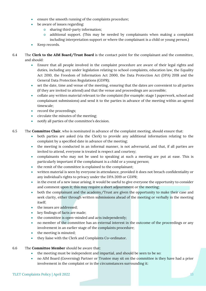- ensure the smooth running of the complaints procedure;
- be aware of issues regarding:
	- o sharing third-party information;
	- o additional support. (This may be needed by complainants when making a complaint including interpretation support or where the complainant is a child or young person.)
- Keep records.
- 6.4 The **Clerk to the AIM Board/Trust Board** is the contact point for the complainant and the committee, and should:
	- Ensure that all people involved in the complaint procedure are aware of their legal rights and duties, including any under legislation relating to school complaints, education law, the Equality Act 2010, the Freedom of Information Act 2000, the Data Protection Act (DPA) 2018 and the General Data Protection Regulations (GDPR);
	- set the date, time and venue of the meeting, ensuring that the dates are convenient to all parties (if they are invited to attend) and that the venue and proceedings are accessible;
	- collate any written material relevant to the complaint (for example: stage 1 paperwork, school and complainant submissions) and send it to the parties in advance of the meeting within an agreed timescale;
	- record the proceedings;
	- circulate the minutes of the meeting;
	- notify all parties of the committee's decision.
- 6.5 The **Committee Chair**, who is nominated in advance of the complaint meeting, should ensure that:
	- both parties are asked (via the Clerk) to provide any additional information relating to the complaint by a specified date in advance of the meeting;
	- the meeting is conducted in an informal manner, is not adversarial, and that, if all parties are invited to attend, everyone is treated is respect and courtesy;
	- complainants who may not be used to speaking at such a meeting are put at ease. This is particularly important if the complainant is a child or a young person;
	- the remit of the committee is explained to the complainant;
	- written material is seen by everyone in attendance, provided it does not breach confidentiality or any individual's rights to privacy under the DPA 2019 or GDPR;
	- in the event of a new issue arising, it would be useful to give everyone the opportunity to consider and comment upon it; this may require a short adjournment or the meeting;
	- both the complainant and the academy/Trust are given the opportunity to make their case and seek clarity, either through written submissions ahead of the meeting or verbally in the meeting itself;
	- the issues are addressed;
	- key findings of facts are made;
	- the committee is open-minded and acts independently;
	- no member of the committee has an external interest in the outcome of the proceedings or any involvement in an earlier stage of the complaints procedure;
	- the meeting is minuted;
	- they liaise with the Clerk and Complaints Co-ordinator.
- 6.6 The **Committee Member** should be aware that:
	- the meeting must be independent and impartial, and should be seen to be so:
	- no AIM Board (Governing) Partner or Trustee may sit on the committee is they have had a prior involvement in the complaint or in the circumstances surrounding it: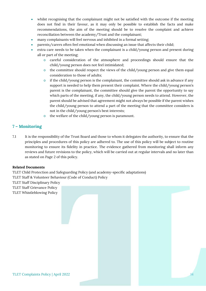- whilst recognising that the complainant might not be satisfied with the outcome if the meeting does not find in their favour, as it may only be possible to establish the facts and make recommendations, the aim of the meeting should be to resolve the complaint and achieve reconciliation between the academy/Trust and the complainant;
- many complainants will feel nervous and inhibited in a formal setting;
- parents/carers often feel emotional when discussing an issue that affects their child;
- extra care needs to be taken when the complainant is a child/young person and present during all or part of the meeting;
	- o careful consideration of the atmosphere and proceedings should ensure that the child/young person does not feel intimidated;
	- o the committee should respect the views of the child/young person and give them equal consideration to those of adults;
	- $\circ$  if the child/young person is the complainant, the committee should ask in advance if any support is needed to help them present their complaint. Where the child/young person's parent is the complainant, the committee should give the parent the opportunity to say which parts of the meeting, if any, the child/young person needs to attend. However, the parent should be advised that agreement might not always be possible if the parent wishes the child/young person to attend a part of the meeting that the committee considers is not in the child/young person's best interests;
	- o the welfare of the child/young person is paramount.

# <span id="page-13-0"></span>**7 – Monitoring**

7.1 It is the responsibility of the Trust Board and those to whom it delegates the authority, to ensure that the principles and procedures of this policy are adhered to. The use of this policy will be subject to routine monitoring to ensure its fidelity in practice. The evidence gathered from monitoring shall inform any reviews and future revisions to the policy, which will be carried out at regular intervals and no later than as stated on Page 2 of this policy.

#### **Related Documents**

TLET Child Protection and Safeguarding Policy (and academy-specific adaptations) TLET Staff & Volunteer Behaviour (Code of Conduct) Policy

TLET Staff Disciplinary Policy

TLET Staff Grievance Policy

TLET Whistleblowing Policy

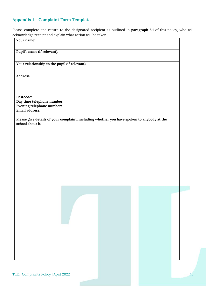# <span id="page-14-0"></span>**Appendix 1 – Complaint Form Template**

Please complete and return to the designated recipient as outlined in **paragraph 5.1** of this policy, who will acknowledge receipt and explain what action will be taken.

**Your name: Pupil's name (if relevant): Your relationship to the pupil (if relevant): Address: Postcode: Day time telephone number: Evening telephone number: Email address: Please give details of your complaint, including whether you have spoken to anybody at the school about it.**